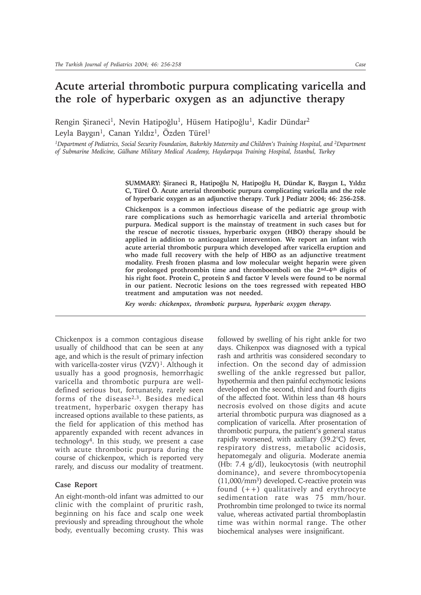# **Acute arterial thrombotic purpura complicating varicella and the role of hyperbaric oxygen as an adjunctive therapy**

Rengin Şiraneci<sup>1</sup>, Nevin Hatipoğlu<sup>1</sup>, Hüsem Hatipoğlu<sup>1</sup>, Kadir Dündar<sup>2</sup> Leyla Baygın<sup>1</sup>, Canan Yıldız<sup>1</sup>, Özden Türel<sup>1</sup>

<sup>1</sup>Department of Pediatrics, Social Security Foundation, Bakırköy Maternity and Children's Training Hospital, and <sup>2</sup>Department of Submarine Medicine, Gülhane Military Medical Academy, Haydarpaşa Training Hospital, İstanbul, Turkey

> SUMMARY: Şiraneci R, Hatipoğlu N, Hatipoğlu H, Dündar K, Baygın L, Yıldız **C, Türel Ö. Acute arterial thrombotic purpura complicating varicella and the role of hyperbaric oxygen as an adjunctive therapy. Turk J Pediatr 2004; 46: 256-258.**

> **Chickenpox is a common infectious disease of the pediatric age group with rare complications such as hemorrhagic varicella and arterial thrombotic purpura. Medical support is the mainstay of treatment in such cases but for the rescue of necrotic tissues, hyperbaric oxygen (HBO) therapy should be applied in addition to anticoagulant intervention. We report an infant with acute arterial thrombotic purpura which developed after varicella eruption and who made full recovery with the help of HBO as an adjunctive treatment modality. Fresh frozen plasma and low molecular weight heparin were given for prolonged prothrombin time and thromboemboli on the 2nd-4th digits of his right foot. Protein C, protein S and factor V levels were found to be normal in our patient. Necrotic lesions on the toes regressed with repeated HBO treatment and amputation was not needed.**

*Key words: chickenpox, thrombotic purpura, hyperbaric oxygen therapy.*

Chickenpox is a common contagious disease usually of childhood that can be seen at any age, and which is the result of primary infection with varicella-zoster virus (VZV)<sup>1</sup>. Although it usually has a good prognosis, hemorrhagic varicella and thrombotic purpura are welldefined serious but, fortunately, rarely seen forms of the disease2,3. Besides medical treatment, hyperbaric oxygen therapy has increased options available to these patients, as the field for application of this method has apparently expanded with recent advances in technology4. In this study, we present a case with acute thrombotic purpura during the course of chickenpox, which is reported very rarely, and discuss our modality of treatment.

### **Case Report**

An eight-month-old infant was admitted to our clinic with the complaint of pruritic rash, beginning on his face and scalp one week previously and spreading throughout the whole body, eventually becoming crusty. This was followed by swelling of his right ankle for two days. Chikenpox was diagnosed with a typical rash and arthritis was considered secondary to infection. On the second day of admission swelling of the ankle regressed but pallor, hypothermia and then painful ecchymotic lesions developed on the second, third and fourth digits of the affected foot. Within less than 48 hours necrosis evolved on those digits and acute arterial thrombotic purpura was diagnosed as a complication of varicella. After prosentation of thrombotic purpura, the patient's general status rapidly worsened, with axillary (39.2°C) fever, respiratory distress, metabolic acidosis, hepatomegaly and oliguria. Moderate anemia (Hb: 7.4 g/dl), leukocytosis (with neutrophil dominance), and severe thrombocytopenia (11,000/mm3) developed. C-reactive protein was found  $(++)$  qualitatively and erythrocyte sedimentation rate was 75 mm/hour. Prothrombin time prolonged to twice its normal value, whereas activated partial thromboplastin time was within normal range. The other biochemical analyses were insignificant.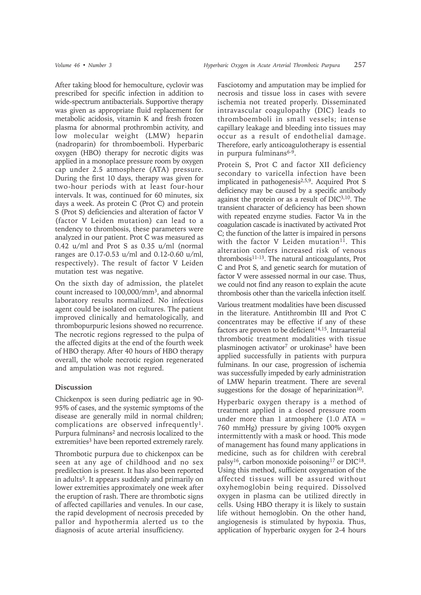After taking blood for hemoculture, cyclovir was prescribed for specific infection in addition to wide-spectrum antibacterials. Supportive therapy was given as appropriate fluid replacement for metabolic acidosis, vitamin K and fresh frozen plasma for abnormal prothrombin activity, and low molecular weight (LMW) heparin (nadroparin) for thromboemboli. Hyperbaric oxygen (HBO) therapy for necrotic digits was applied in a monoplace pressure room by oxygen cap under 2.5 atmosphere (ATA) pressure. During the first 10 days, therapy was given for two-hour periods with at least four-hour intervals. It was, continued for 60 minutes, six days a week. As protein C (Prot C) and protein S (Prot S) deficiencies and alteration of factor V (factor V Leiden mutation) can lead to a tendency to thrombosis, these parameters were analyzed in our patient. Prot C was measured as 0.42 u/ml and Prot S as 0.35 u/ml (normal ranges are 0.17-0.53 u/ml and 0.12-0.60 u/ml, respectively). The result of factor V Leiden mutation test was negative.

On the sixth day of admission, the platelet count increased to 100,000/mm3, and abnormal laboratory results normalized. No infectious agent could be isolated on cultures. The patient improved clinically and hematologically, and thrombopurpuric lesions showed no recurrence. The necrotic regions regressed to the pulpa of the affected digits at the end of the fourth week of HBO therapy. After 40 hours of HBO therapy overall, the whole necrotic region regenerated and ampulation was not regured.

## **Discussion**

Chickenpox is seen during pediatric age in 90- 95% of cases, and the systemic symptoms of the disease are generally mild in normal children; complications are observed infrequently<sup>1</sup>. Purpura fulminans<sup>2</sup> and necrosis localized to the extremities<sup>3</sup> have been reported extremely rarely.

Thrombotic purpura due to chickenpox can be seen at any age of childhood and no sex predilection is present. It has also been reported in adults5. It appears suddenly and primarily on lower extremities approximately one week after the eruption of rash. There are thrombotic signs of affected capillaries and venules. In our case, the rapid development of necrosis preceded by pallor and hypothermia alerted us to the diagnosis of acute arterial insufficiency.

Fasciotomy and amputation may be implied for necrosis and tissue loss in cases with severe ischemia not treated properly. Disseminated intravascular coagulopathy (DIC) leads to thromboemboli in small vessels; intense capillary leakage and bleeding into tissues may occur as a result of endothelial damage. Therefore, early anticoagulotherapy is essential in purpura fulminans $6-9$ .

Protein S, Prot C and factor XII deficiency secondary to varicella infection have been implicated in pathogenesis2,5,9. Acquired Prot S deficiency may be caused by a specific antibody against the protein or as a result of DIC3,10. The transient character of deficiency has been shown with repeated enzyme studies. Factor Va in the coagulation cascade is inactivated by activated Prot C; the function of the latter is impaired in persons with the factor V Leiden mutation $11$ . This alteration confers increased risk of venous thrombosis11-13. The natural anticoagulants, Prot C and Prot S, and genetic search for mutation of factor V were assessed normal in our case. Thus, we could not find any reason to explain the acute thrombosis other than the varicella infection itself.

Various treatment modalities have been discussed in the literature. Antithrombin III and Prot C concentrates may be effective if any of these factors are proven to be deficient<sup>14,15</sup>. Intraarterial thrombotic treatment modalities with tissue plasminogen activator<sup>7</sup> or urokinase<sup>5</sup> have been applied successfully in patients with purpura fulminans. In our case, progression of ischemia was successfully impeded by early administration of LMW heparin treatment. There are several suggestions for the dosage of heparinization $10$ .

Hyperbaric oxygen therapy is a method of treatment applied in a closed pressure room under more than 1 atmosphere  $(1.0 ATA =$ 760 mmHg) pressure by giving 100% oxygen intermittently with a mask or hood. This mode of management has found many applications in medicine, such as for children with cerebral palsy16, carbon monoxide poisoning17 or DIC18. Using this method, sufficient oxygenation of the affected tissues will be assured without oxyhemoglobin being required. Dissolved oxygen in plasma can be utilized directly in cells. Using HBO therapy it is likely to sustain life without hemoglobin. On the other hand, angiogenesis is stimulated by hypoxia. Thus, application of hyperbaric oxygen for 2-4 hours